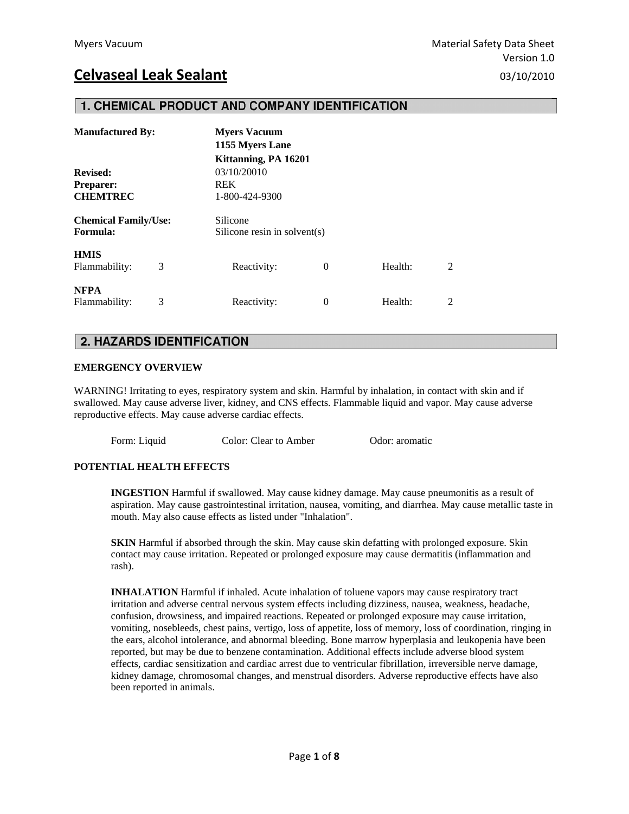### 1. CHEMICAL PRODUCT AND COMPANY IDENTIFICATION

| <b>Manufactured By:</b>                 |   | <b>Myers Vacuum</b><br>1155 Myers Lane   |   |         |   |  |
|-----------------------------------------|---|------------------------------------------|---|---------|---|--|
|                                         |   | Kittanning, PA 16201                     |   |         |   |  |
| <b>Revised:</b>                         |   | 03/10/20010                              |   |         |   |  |
| <b>Preparer:</b>                        |   | <b>REK</b>                               |   |         |   |  |
| <b>CHEMTREC</b>                         |   | 1-800-424-9300                           |   |         |   |  |
| <b>Chemical Family/Use:</b><br>Formula: |   | Silicone<br>Silicone resin in solvent(s) |   |         |   |  |
| <b>HMIS</b><br>Flammability:            | 3 | Reactivity:                              | 0 | Health: | 2 |  |
| <b>NFPA</b><br>Flammability:            | 3 | Reactivity:                              | 0 | Health: | 2 |  |

### **2. HAZARDS IDENTIFICATION**

### **EMERGENCY OVERVIEW**

WARNING! Irritating to eyes, respiratory system and skin. Harmful by inhalation, in contact with skin and if swallowed. May cause adverse liver, kidney, and CNS effects. Flammable liquid and vapor. May cause adverse reproductive effects. May cause adverse cardiac effects.

Form: Liquid Color: Clear to Amber Odor: aromatic

#### **POTENTIAL HEALTH EFFECTS**

 **INGESTION** Harmful if swallowed. May cause kidney damage. May cause pneumonitis as a result of aspiration. May cause gastrointestinal irritation, nausea, vomiting, and diarrhea. May cause metallic taste in mouth. May also cause effects as listed under "Inhalation".

**SKIN** Harmful if absorbed through the skin. May cause skin defatting with prolonged exposure. Skin contact may cause irritation. Repeated or prolonged exposure may cause dermatitis (inflammation and rash).

 **INHALATION** Harmful if inhaled. Acute inhalation of toluene vapors may cause respiratory tract irritation and adverse central nervous system effects including dizziness, nausea, weakness, headache, confusion, drowsiness, and impaired reactions. Repeated or prolonged exposure may cause irritation, vomiting, nosebleeds, chest pains, vertigo, loss of appetite, loss of memory, loss of coordination, ringing in the ears, alcohol intolerance, and abnormal bleeding. Bone marrow hyperplasia and leukopenia have been reported, but may be due to benzene contamination. Additional effects include adverse blood system effects, cardiac sensitization and cardiac arrest due to ventricular fibrillation, irreversible nerve damage, kidney damage, chromosomal changes, and menstrual disorders. Adverse reproductive effects have also been reported in animals.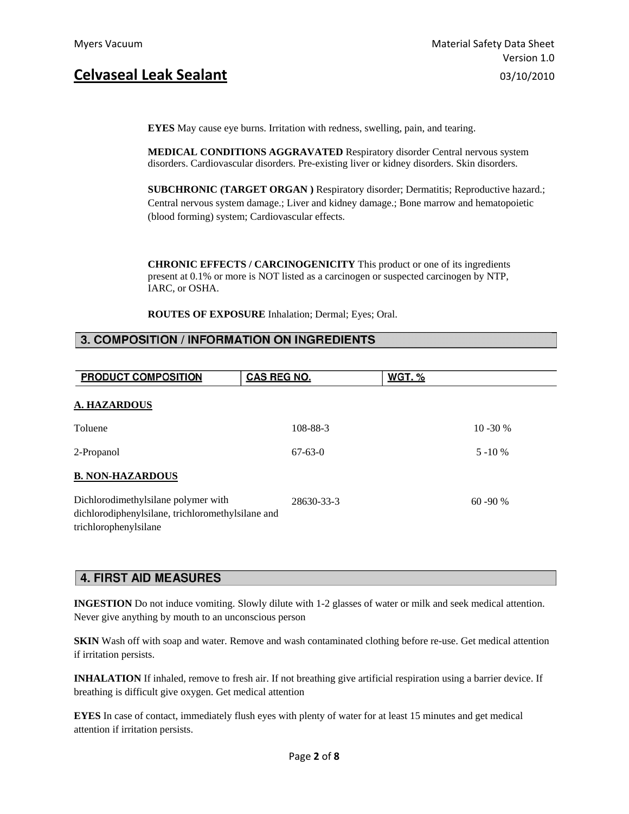**EYES** May cause eye burns. Irritation with redness, swelling, pain, and tearing.

 **MEDICAL CONDITIONS AGGRAVATED** Respiratory disorder Central nervous system disorders. Cardiovascular disorders. Pre-existing liver or kidney disorders. Skin disorders.

 **SUBCHRONIC (TARGET ORGAN )** Respiratory disorder; Dermatitis; Reproductive hazard.; Central nervous system damage.; Liver and kidney damage.; Bone marrow and hematopoietic (blood forming) system; Cardiovascular effects.

 **CHRONIC EFFECTS / CARCINOGENICITY** This product or one of its ingredients present at 0.1% or more is NOT listed as a carcinogen or suspected carcinogen by NTP, IARC, or OSHA.

 **ROUTES OF EXPOSURE** Inhalation; Dermal; Eyes; Oral.

### 3. COMPOSITION / INFORMATION ON INGREDIENTS

| PRODUCT COMPOSITION                                                                                               | CAS REG NO. | <b>WGT. %</b> |
|-------------------------------------------------------------------------------------------------------------------|-------------|---------------|
| <b>A. HAZARDOUS</b>                                                                                               |             |               |
| Toluene                                                                                                           | 108-88-3    | $10 - 30 %$   |
| 2-Propanol                                                                                                        | $67-63-0$   | $5 - 10 %$    |
| <b>B. NON-HAZARDOUS</b>                                                                                           |             |               |
| Dichlorodimethylsilane polymer with<br>dichlorodiphenylsilane, trichloromethylsilane and<br>trichlorophenylsilane | 28630-33-3  | $60 - 90 %$   |

### **4. FIRST AID MEASURES**

**INGESTION** Do not induce vomiting. Slowly dilute with 1-2 glasses of water or milk and seek medical attention. Never give anything by mouth to an unconscious person

**SKIN** Wash off with soap and water. Remove and wash contaminated clothing before re-use. Get medical attention if irritation persists.

**INHALATION** If inhaled, remove to fresh air. If not breathing give artificial respiration using a barrier device. If breathing is difficult give oxygen. Get medical attention

**EYES** In case of contact, immediately flush eyes with plenty of water for at least 15 minutes and get medical attention if irritation persists.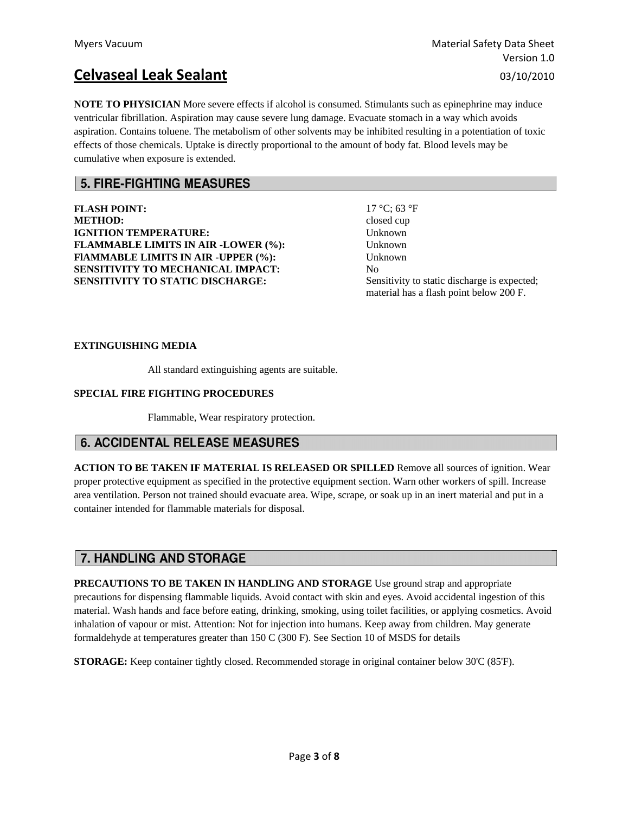**NOTE TO PHYSICIAN** More severe effects if alcohol is consumed. Stimulants such as epinephrine may induce ventricular fibrillation. Aspiration may cause severe lung damage. Evacuate stomach in a way which avoids aspiration. Contains toluene. The metabolism of other solvents may be inhibited resulting in a potentiation of toxic effects of those chemicals. Uptake is directly proportional to the amount of body fat. Blood levels may be cumulative when exposure is extended.

### **5. FIRE-FIGHTING MEASURES**

**FLASH POINT:** 17 °C; 63 °F **METHOD:** closed cup **IGNITION TEMPERATURE:** Unknown **FLAMMABLE LIMITS IN AIR -LOWER (%):** Unknown **FlAMMABLE LIMITS IN AIR -UPPER (%): SENSITIVITY TO MECHANICAL IMPACT: SENSITIVITY TO STATIC DISCHARGE:** 

Unknown No Sensitivity to static discharge is expected; material has a flash point below 200 F.

#### **EXTINGUISHING MEDIA**

All standard extinguishing agents are suitable.

### **SPECIAL FIRE FIGHTING PROCEDURES**

Flammable, Wear respiratory protection.

### **6. ACCIDENTAL RELEASE MEASURES**

**ACTION TO BE TAKEN IF MATERIAL IS RELEASED OR SPILLED** Remove all sources of ignition. Wear proper protective equipment as specified in the protective equipment section. Warn other workers of spill. Increase area ventilation. Person not trained should evacuate area. Wipe, scrape, or soak up in an inert material and put in a container intended for flammable materials for disposal.

### **7. HANDLING AND STORAGE**

**PRECAUTIONS TO BE TAKEN IN HANDLING AND STORAGE** Use ground strap and appropriate precautions for dispensing flammable liquids. Avoid contact with skin and eyes. Avoid accidental ingestion of this material. Wash hands and face before eating, drinking, smoking, using toilet facilities, or applying cosmetics. Avoid inhalation of vapour or mist. Attention: Not for injection into humans. Keep away from children. May generate formaldehyde at temperatures greater than 150 C (300 F). See Section 10 of MSDS for details

**STORAGE:** Keep container tightly closed. Recommended storage in original container below 30'C (85'F).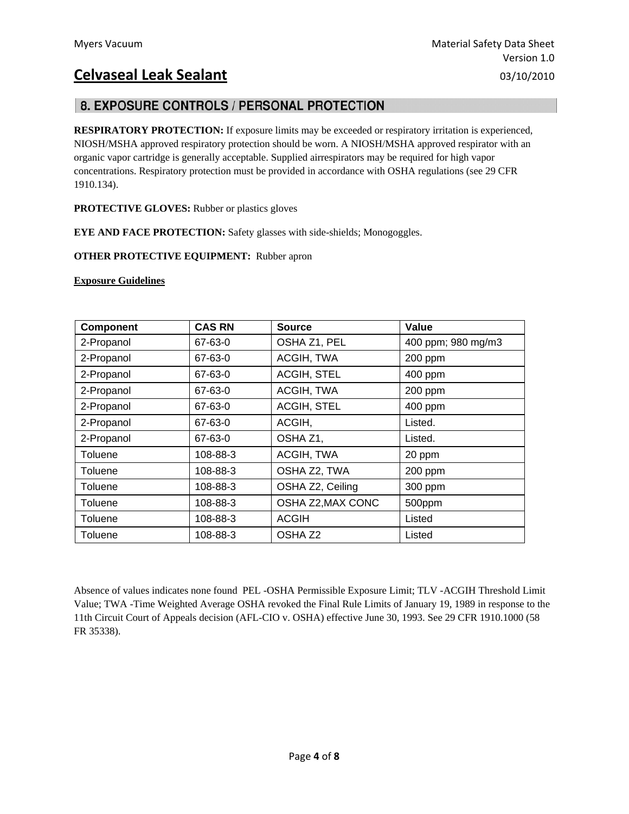# 8. EXPOSURE CONTROLS / PERSONAL PROTECTION

**RESPIRATORY PROTECTION:** If exposure limits may be exceeded or respiratory irritation is experienced, NIOSH/MSHA approved respiratory protection should be worn. A NIOSH/MSHA approved respirator with an organic vapor cartridge is generally acceptable. Supplied airrespirators may be required for high vapor concentrations. Respiratory protection must be provided in accordance with OSHA regulations (see 29 CFR 1910.134).

**PROTECTIVE GLOVES:** Rubber or plastics gloves

**EYE AND FACE PROTECTION:** Safety glasses with side-shields; Monogoggles.

### **OTHER PROTECTIVE EQUIPMENT:** Rubber apron

#### **Exposure Guidelines**

| <b>Component</b> | <b>CAS RN</b> | <b>Source</b>      | Value              |
|------------------|---------------|--------------------|--------------------|
| 2-Propanol       | 67-63-0       | OSHA Z1, PEL       | 400 ppm; 980 mg/m3 |
| 2-Propanol       | 67-63-0       | ACGIH, TWA         | 200 ppm            |
| 2-Propanol       | 67-63-0       | ACGIH, STEL        | 400 ppm            |
| 2-Propanol       | 67-63-0       | ACGIH, TWA         | 200 ppm            |
| 2-Propanol       | 67-63-0       | <b>ACGIH, STEL</b> | 400 ppm            |
| 2-Propanol       | 67-63-0       | ACGIH,             | Listed.            |
| 2-Propanol       | 67-63-0       | OSHA Z1,           | Listed.            |
| Toluene          | 108-88-3      | ACGIH, TWA         | 20 ppm             |
| Toluene          | 108-88-3      | OSHA Z2, TWA       | 200 ppm            |
| Toluene          | 108-88-3      | OSHA Z2, Ceiling   | 300 ppm            |
| Toluene          | 108-88-3      | OSHA Z2, MAX CONC  | 500ppm             |
| Toluene          | 108-88-3      | <b>ACGIH</b>       | Listed             |
| Toluene          | 108-88-3      | OSHA <sub>Z2</sub> | Listed             |

Absence of values indicates none found PEL -OSHA Permissible Exposure Limit; TLV -ACGIH Threshold Limit Value; TWA -Time Weighted Average OSHA revoked the Final Rule Limits of January 19, 1989 in response to the 11th Circuit Court of Appeals decision (AFL-CIO v. OSHA) effective June 30, 1993. See 29 CFR 1910.1000 (58 FR 35338).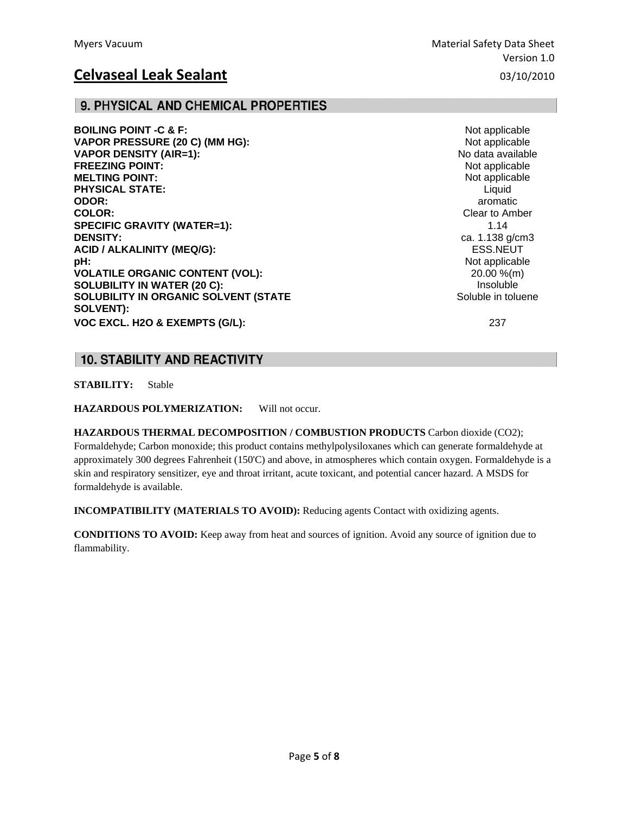## 9. PHYSICAL AND CHEMICAL PROPERTIES

**BOILING POINT -C & F:** Not applicable **VAPOR PRESSURE (20 C) (MM HG): VAPOR DENSITY (AIR=1):** No data available **FREEZING POINT:**  $\blacksquare$ **MELTING POINT:** Not applicable the state of the state of the state of the state of the state of the state of the state of the state of the state of the state of the state of the state of the state of the state of the stat **PHYSICAL STATE:** Liquid **ODOR: and aromatic one of the contract of the contract of the contract of the contract of the contract of the contract of the contract of the contract of the contract of the contract of the contract of the contract COLOR:** COLOR: Clear to Amber **SPECIFIC GRAVITY (WATER=1):**  $1.14$ **DENSITY:** ca. 1.138 g/cm3 **ACID / ALKALINITY (MEQ/G):** ESS.NEUT **pH:**  $\blacksquare$ **VOLATILE ORGANIC CONTENT (VOL):** 20.00 %(m) **SOLUBILITY IN WATER (20 C):** Insoluble **SOLUBILITY IN ORGANIC SOLVENT (STATE SOLUBILITY IN ORGANIC SOLVENT** (STATE Soluble in toluene **SOLVENT): VOC EXCL. H2O & EXEMPTS (G/L):** 237

## **10. STABILITY AND REACTIVITY**

**STABILITY:** Stable

**HAZARDOUS POLYMERIZATION:** Will not occur.

**HAZARDOUS THERMAL DECOMPOSITION / COMBUSTION PRODUCTS** Carbon dioxide (CO2); Formaldehyde; Carbon monoxide; this product contains methylpolysiloxanes which can generate formaldehyde at approximately 300 degrees Fahrenheit (150'C) and above, in atmospheres which contain oxygen. Formaldehyde is a skin and respiratory sensitizer, eye and throat irritant, acute toxicant, and potential cancer hazard. A MSDS for formaldehyde is available.

**INCOMPATIBILITY (MATERIALS TO AVOID):** Reducing agents Contact with oxidizing agents.

**CONDITIONS TO AVOID:** Keep away from heat and sources of ignition. Avoid any source of ignition due to flammability.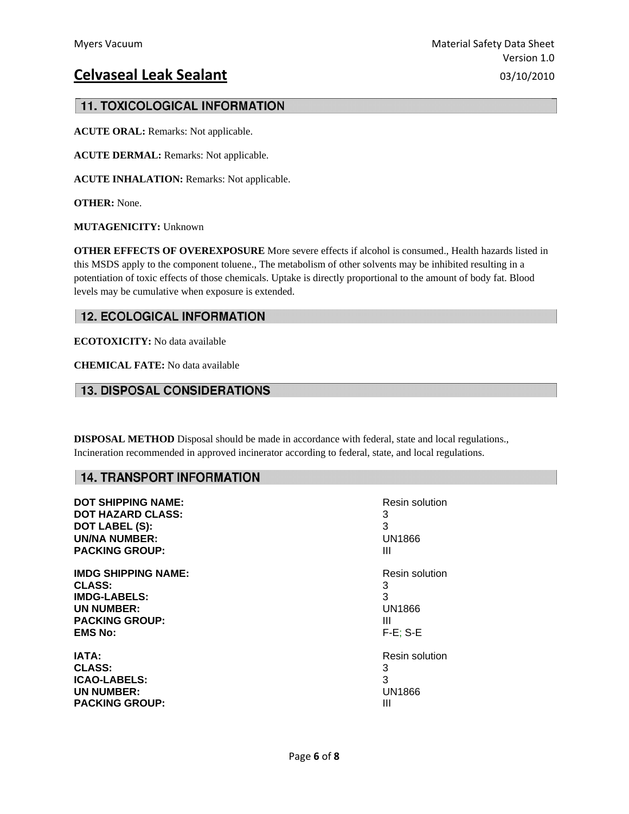## **11. TOXICOLOGICAL INFORMATION**

**ACUTE ORAL:** Remarks: Not applicable.

**ACUTE DERMAL:** Remarks: Not applicable.

**ACUTE INHALATION:** Remarks: Not applicable.

**OTHER:** None.

**MUTAGENICITY:** Unknown

**OTHER EFFECTS OF OVEREXPOSURE** More severe effects if alcohol is consumed., Health hazards listed in this MSDS apply to the component toluene., The metabolism of other solvents may be inhibited resulting in a potentiation of toxic effects of those chemicals. Uptake is directly proportional to the amount of body fat. Blood levels may be cumulative when exposure is extended.

## **12. ECOLOGICAL INFORMATION**

**ECOTOXICITY:** No data available

**CHEMICAL FATE:** No data available

## **13. DISPOSAL CONSIDERATIONS**

**DISPOSAL METHOD** Disposal should be made in accordance with federal, state and local regulations., Incineration recommended in approved incinerator according to federal, state, and local regulations.

## **14. TRANSPORT INFORMATION**

| <b>DOT SHIPPING NAME:</b>  | Resin solution |
|----------------------------|----------------|
| <b>DOT HAZARD CLASS:</b>   | 3              |
| <b>DOT LABEL (S):</b>      | 3              |
| <b>UN/NA NUMBER:</b>       | UN1866         |
| <b>PACKING GROUP:</b>      | Ш              |
| <b>IMDG SHIPPING NAME:</b> | Resin solution |
| <b>CLASS:</b>              | 3              |
| <b>IMDG-LABELS:</b>        | 3              |
| <b>UN NUMBER:</b>          | UN1866         |
| <b>PACKING GROUP:</b>      | Ш              |
| <b>EMS No:</b>             | $F-E$ ; S-E    |
| IATA:                      | Resin solution |
| <b>CLASS:</b>              | 3              |
| <b>ICAO-LABELS:</b>        | 3              |
| <b>UN NUMBER:</b>          | <b>UN1866</b>  |
| <b>PACKING GROUP:</b>      | Ш              |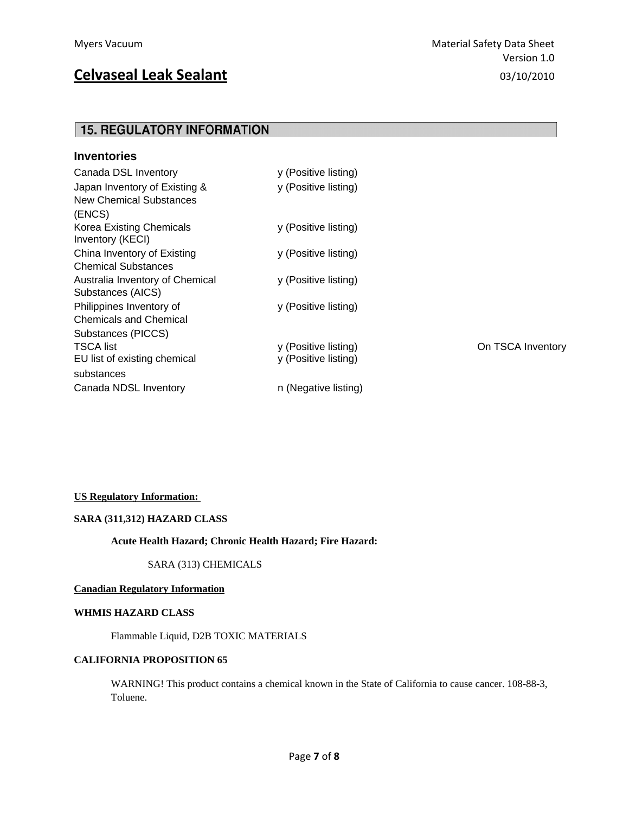# **15. REGULATORY INFORMATION**

| <b>Inventories</b>                                                 |                                              |                   |
|--------------------------------------------------------------------|----------------------------------------------|-------------------|
| Canada DSL Inventory                                               | y (Positive listing)                         |                   |
| Japan Inventory of Existing &<br>New Chemical Substances<br>(ENCS) | y (Positive listing)                         |                   |
| Korea Existing Chemicals<br>Inventory (KECI)                       | y (Positive listing)                         |                   |
| China Inventory of Existing<br><b>Chemical Substances</b>          | y (Positive listing)                         |                   |
| Australia Inventory of Chemical<br>Substances (AICS)               | y (Positive listing)                         |                   |
| Philippines Inventory of<br><b>Chemicals and Chemical</b>          | y (Positive listing)                         |                   |
| Substances (PICCS)                                                 |                                              |                   |
| <b>TSCA list</b><br>EU list of existing chemical<br>substances     | y (Positive listing)<br>y (Positive listing) | On TSCA Inventory |
| Canada NDSL Inventory                                              | n (Negative listing)                         |                   |

#### **US Regulatory Information:**

#### **SARA (311,312) HAZARD CLASS**

#### **Acute Health Hazard; Chronic Health Hazard; Fire Hazard:**

SARA (313) CHEMICALS

### **Canadian Regulatory Information**

### **WHMIS HAZARD CLASS**

Flammable Liquid, D2B TOXIC MATERIALS

#### **CALIFORNIA PROPOSITION 65**

 WARNING! This product contains a chemical known in the State of California to cause cancer. 108-88-3, Toluene.